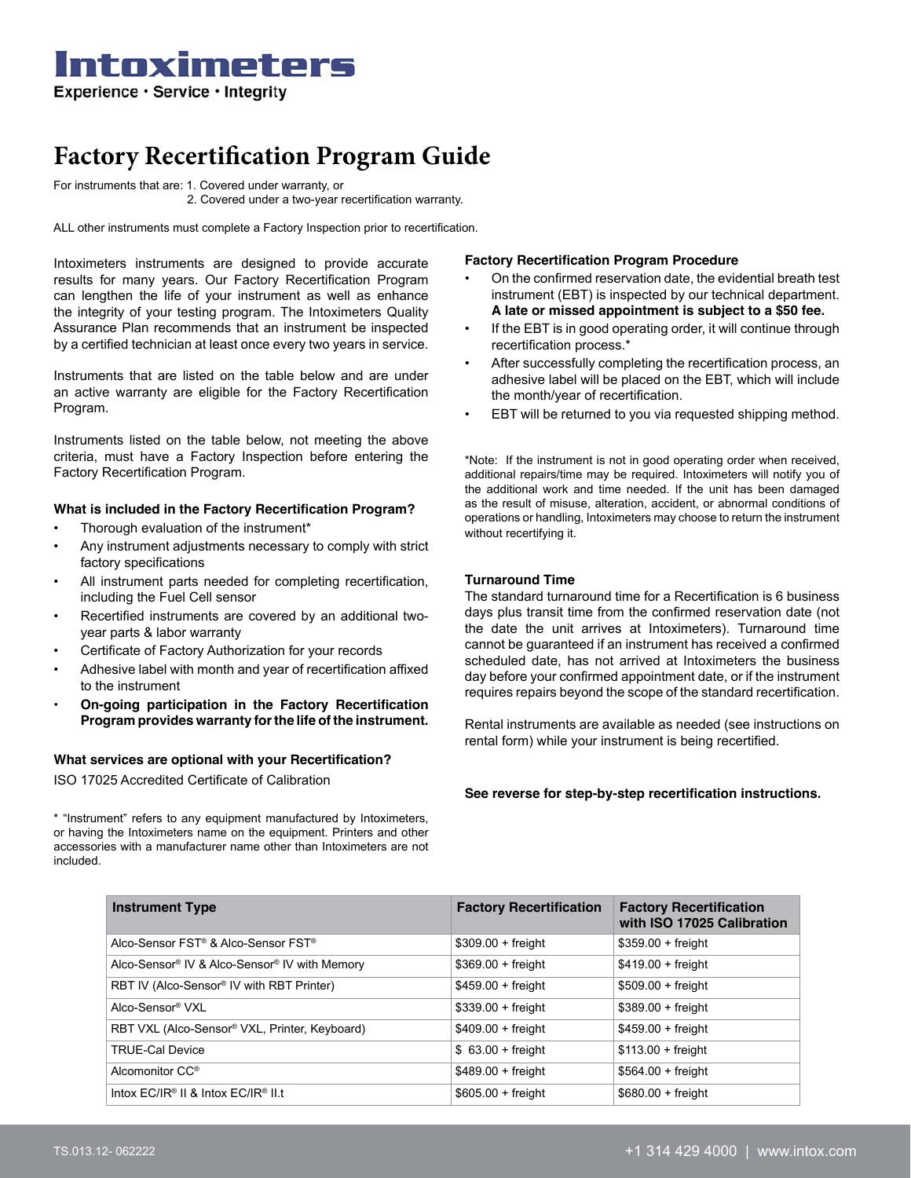### Intoximeters Experience · Service · Integrity

## **Factory Recertification Program Guide**

For instruments that are: 1. Covered under warranty, or 2. Covered under a two-year recertification warranty.

ALL other instruments must complete a Factory Inspection prior to recertification.

Intoximeters instruments are designed to provide accurate results for many years. Our Factory Recertification Program can lengthen the life of your instrument as well as enhance the integrity of your testing program. The Intoximeters Quality Assurance Plan recommends that an instrument be inspected by a certified technician at least once every two years in service.

Instruments that are listed on the table below and are under an active warranty are eligible for the Factory Recertification Program.

Instruments listed on the table below, not meeting the above criteria, must have a Factory Inspection before entering the Factory Recertification Program.

#### **What is included in the Factory Recertification Program?**

- Thorough evaluation of the instrument\*
- Any instrument adjustments necessary to comply with strict factory specifications
- All instrument parts needed for completing recertification, including the Fuel Cell sensor
- Recertified instruments are covered by an additional twoyear parts & labor warranty
- Certificate of Factory Authorization for your records
- Adhesive label with month and year of recertification affixed to the instrument
- **• On-going participation in the Factory Recertification Program provides warranty for the life of the instrument.**

#### **What services are optional with your Recertification?**

ISO 17025 Accredited Certificate of Calibration

\* "Instrument" refers to any equipment manufactured by Intoximeters, or having the Intoximeters name on the equipment. Printers and other accessories with a manufacturer name other than Intoximeters are not included.

#### **Factory Recertification Program Procedure**

- On the confirmed reservation date, the evidential breath test instrument (EBT) is inspected by our technical department. **A late or missed appointment is subject to a \$50 fee.**
- If the EBT is in good operating order, it will continue through recertification process.\*
- After successfully completing the recertification process, an adhesive label will be placed on the EBT, which will include the month/year of recertification.
- EBT will be returned to you via requested shipping method.

\*Note: If the instrument is not in good operating order when received, additional repairs/time may be required. Intoximeters will notify you of the additional work and time needed. If the unit has been damaged as the result of misuse, alteration, accident, or abnormal conditions of operations or handling, Intoximeters may choose to return the instrument without recertifying it.

#### **Turnaround Time**

The standard turnaround time for a Recertification is 6 business days plus transit time from the confirmed reservation date (not the date the unit arrives at Intoximeters). Turnaround time cannot be guaranteed if an instrument has received a confirmed scheduled date, has not arrived at Intoximeters the business day before your confirmed appointment date, or if the instrument requires repairs beyond the scope of the standard recertification.

Rental instruments are available as needed (see instructions on rental form) while your instrument is being recertified.

**See reverse for step-by-step recertification instructions.** 

| <b>Instrument Type</b>                                      | <b>Factory Recertification</b> | <b>Factory Recertification</b><br>with ISO 17025 Calibration |
|-------------------------------------------------------------|--------------------------------|--------------------------------------------------------------|
| Alco-Sensor FST <sup>®</sup> & Alco-Sensor FST <sup>®</sup> | $$309.00 + freight$            | $$359.00 + freight$                                          |
| Alco-Sensor® IV & Alco-Sensor® IV with Memory               | $$369.00 + freight$            | $$419.00 + freight$                                          |
| RBT IV (Alco-Sensor <sup>®</sup> IV with RBT Printer)       | $$459.00 + freight$            | $$509.00 + freight$                                          |
| Alco-Sensor® VXL                                            | $$339.00 + freight$            | $$389.00 + freight$                                          |
| RBT VXL (Alco-Sensor® VXL, Printer, Keyboard)               | $$409.00 + freight$            | $$459.00 + freight$                                          |
| <b>TRUE-Cal Device</b>                                      | $$63.00 + freight$             | $$113.00 + freight$                                          |
| Alcomonitor CC <sup>®</sup>                                 | $$489.00 + freight$            | $$564.00 + freight$                                          |
| Intox $EC/IR^{\circ}$ II & Intox $EC/IR^{\circ}$ II t       | $$605.00 + freight$            | $$680.00 + freight$                                          |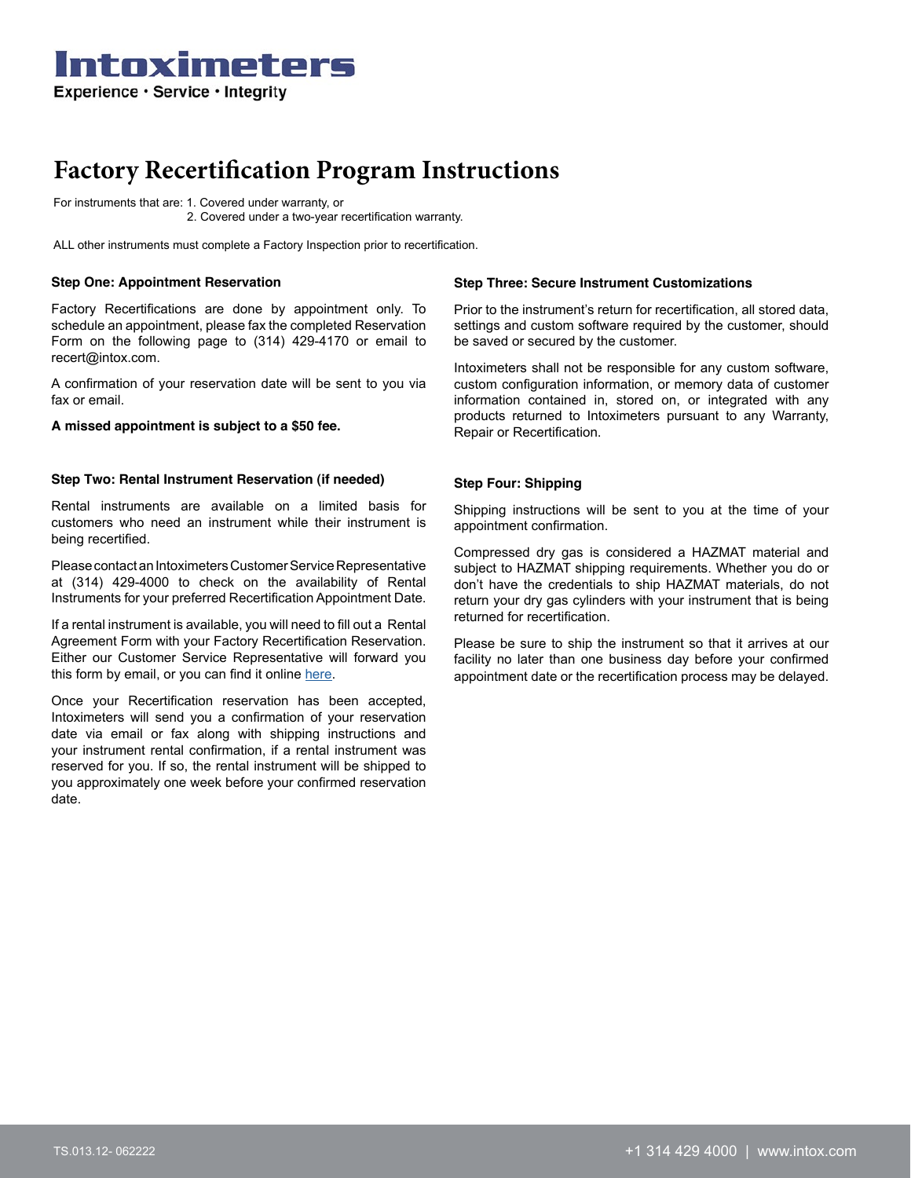Intoximeters Experience · Service · Integrity

## **Factory Recertification Program Instructions**

For instruments that are: 1. Covered under warranty, or 2. Covered under a two-year recertification warranty.

ALL other instruments must complete a Factory Inspection prior to recertification.

#### **Step One: Appointment Reservation**

Factory Recertifications are done by appointment only. To schedule an appointment, please fax the completed Reservation Form on the following page to (314) 429-4170 or email to recert@intox.com.

A confirmation of your reservation date will be sent to you via fax or email.

#### **A missed appointment is subject to a \$50 fee.**

#### **Step Two: Rental Instrument Reservation (if needed)**

Rental instruments are available on a limited basis for customers who need an instrument while their instrument is being recertified.

Please contact an Intoximeters Customer Service Representative at (314) 429-4000 to check on the availability of Rental Instruments for your preferred Recertification Appointment Date.

If a rental instrument is available, you will need to fill out a Rental Agreement Form with your Factory Recertification Reservation. Either our Customer Service Representative will forward you this form by email, or you can find it online [here](https://3gxou93ihow7rltj72rrjmb1-wpengine.netdna-ssl.com/wp-content/uploads/2020/11/Rental-Form-ALL-2020-1.pdf).

Once your Recertification reservation has been accepted, Intoximeters will send you a confirmation of your reservation date via email or fax along with shipping instructions and your instrument rental confirmation, if a rental instrument was reserved for you. If so, the rental instrument will be shipped to you approximately one week before your confirmed reservation date.

#### **Step Three: Secure Instrument Customizations**

Prior to the instrument's return for recertification, all stored data, settings and custom software required by the customer, should be saved or secured by the customer.

Intoximeters shall not be responsible for any custom software, custom configuration information, or memory data of customer information contained in, stored on, or integrated with any products returned to Intoximeters pursuant to any Warranty, Repair or Recertification.

#### **Step Four: Shipping**

Shipping instructions will be sent to you at the time of your appointment confirmation.

Compressed dry gas is considered a HAZMAT material and subject to HAZMAT shipping requirements. Whether you do or don't have the credentials to ship HAZMAT materials, do not return your dry gas cylinders with your instrument that is being returned for recertification.

Please be sure to ship the instrument so that it arrives at our facility no later than one business day before your confirmed appointment date or the recertification process may be delayed.